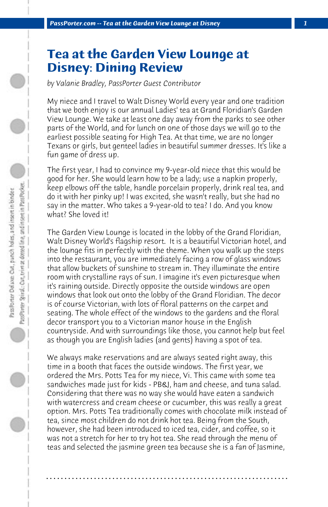## **Tea at the Garden View Lounge at Disney: Dining Review**

*by Valanie Bradley, PassPorter Guest Contributor*

My niece and I travel to Walt Disney World every year and one tradition that we both enjoy is our annual Ladies' tea at Grand Floridian's Garden View Lounge. We take at least one day away from the parks to see other parts of the World, and for lunch on one of those days we will go to the earliest possible seating for High Tea. At that time, we are no longer Texans or girls, but genteel ladies in beautiful summer dresses. It's like a fun game of dress up.

The first year, I had to convince my 9-year-old niece that this would be good for her. She would learn how to be a lady; use a napkin properly, keep elbows off the table, handle porcelain properly, drink real tea, and do it with her pinky up! I was excited, she wasn't really, but she had no say in the matter. Who takes a 9-year-old to tea? I do. And you know what? She loved it!

The Garden View Lounge is located in the lobby of the Grand Floridian, Walt Disney World's flagship resort. It is a beautiful Victorian hotel, and the lounge fits in perfectly with the theme. When you walk up the steps into the restaurant, you are immediately facing a row of glass windows that allow buckets of sunshine to stream in. They illuminate the entire room with crystalline rays of sun. I imagine it's even picturesque when it's raining outside. Directly opposite the outside windows are open windows that look out onto the lobby of the Grand Floridian. The decor is of course Victorian, with lots of floral patterns on the carpet and seating. The whole effect of the windows to the gardens and the floral decor transport you to a Victorian manor house in the English countryside. And with surroundings like those, you cannot help but feel as though you are English ladies (and gents) having a spot of tea.

We always make reservations and are always seated right away, this time in a booth that faces the outside windows. The first year, we ordered the Mrs. Potts Tea for my niece, Vi. This came with some tea sandwiches made just for kids - PB&J, ham and cheese, and tuna salad. Considering that there was no way she would have eaten a sandwich with watercress and cream cheese or cucumber, this was really a great option. Mrs. Potts Tea traditionally comes with chocolate milk instead of tea, since most children do not drink hot tea. Being from the South, however, she had been introduced to iced tea, cider, and coffee, so it was not a stretch for her to try hot tea. She read through the menu of teas and selected the jasmine green tea because she is a fan of Jasmine,

**. . . . . . . . . . . . . . . . . . . . . . . . . . . . . . . . . . . . . . . . . . . . . . . . . . . . . . . . . . . . . . . . . .**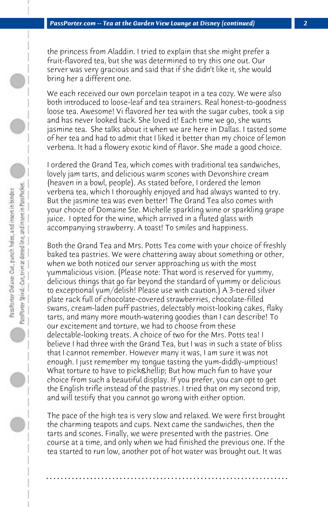the princess from Aladdin. I tried to explain that she might prefer a fruit-flavored tea, but she was determined to try this one out. Our server was very gracious and said that if she didn't like it, she would bring her a different one.

We each received our own porcelain teapot in a tea cozy. We were also both introduced to loose-leaf and tea strainers. Real honest-to-goodness loose tea. Awesome! Vi flavored her tea with the sugar cubes, took a sip and has never looked back. She loved it! Each time we go, she wants jasmine tea. She talks about it when we are here in Dallas. I tasted some of her tea and had to admit that I liked it better than my choice of lemon verbena. It had a flowery exotic kind of flavor. She made a good choice.

I ordered the Grand Tea, which comes with traditional tea sandwiches, lovely jam tarts, and delicious warm scones with Devonshire cream (heaven in a bowl, people). As stated before, I ordered the lemon verbena tea, which I thoroughly enjoyed and had always wanted to try. But the jasmine tea was even better! The Grand Tea also comes with your choice of Domaine Ste. Michelle sparkling wine or sparkling grape juice. I opted for the wine, which arrived in a fluted glass with accompanying strawberry. A toast! To smiles and happiness.

Both the Grand Tea and Mrs. Potts Tea come with your choice of freshly baked tea pastries. We were chattering away about something or other, when we both noticed our server approaching us with the most yummalicious vision. (Please note: That word is reserved for yummy, delicious things that go far beyond the standard of yummy or delicious to exceptional yum/delish! Please use with caution.) A 3-tiered silver plate rack full of chocolate-covered strawberries, chocolate-filled swans, cream-laden puff pastries, delectably moist-looking cakes, flaky tarts, and many more mouth-watering goodies than I can describe! To our excitement and torture, we had to choose from these delectable-looking treats. A choice of two for the Mrs. Potts tea! I believe I had three with the Grand Tea, but I was in such a state of bliss that I cannot remember. However many it was, I am sure it was not enough. I just remember my tongue tasting the yum-diddly-umptious! What torture to have to pick… But how much fun to have your choice from such a beautiful display. If you prefer, you can opt to get the English trifle instead of the pastries. I tried that on my second trip, and will testify that you cannot go wrong with either option.

The pace of the high tea is very slow and relaxed. We were first brought the charming teapots and cups. Next came the sandwiches, then the tarts and scones. Finally, we were presented with the pastries. One course at a time, and only when we had finished the previous one. If the tea started to run low, another pot of hot water was brought out. It was

**. . . . . . . . . . . . . . . . . . . . . . . . . . . . . . . . . . . . . . . . . . . . . . . . . . . . . . . . . . . . . . . . . .**